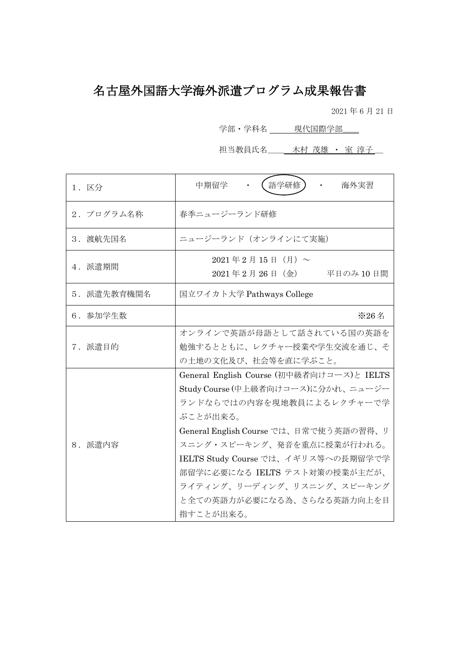# 名古屋外国語大学海外派遣プログラム成果報告書

2021 年 6 月 21 日

学部·学科名 \_\_\_\_ 現代国際学部\_\_\_

担当教員氏名\_\_\_\_ 木村 茂雄 · 室 淳子\_\_

| 1. 区分       | 語学研修】<br>中期留学<br>海外実習                                                                                                                                                                                                                                                                                                                             |
|-------------|---------------------------------------------------------------------------------------------------------------------------------------------------------------------------------------------------------------------------------------------------------------------------------------------------------------------------------------------------|
| 2. プログラム名称  | 春季ニュージーランド研修                                                                                                                                                                                                                                                                                                                                      |
| 3. 渡航先国名    | ニュージーランド (オンラインにて実施)                                                                                                                                                                                                                                                                                                                              |
| 4. 派遣期間     | $2021 \& 2 \& 15 \& 15$ (月) ~<br>2021年2月26日 (金)<br>平日のみ 10日間                                                                                                                                                                                                                                                                                      |
| 5. 派遣先教育機関名 | 国立ワイカト大学 Pathways College                                                                                                                                                                                                                                                                                                                         |
| 6. 参加学生数    | ※26名                                                                                                                                                                                                                                                                                                                                              |
| 7. 派遣目的     | オンラインで英語が母語として話されている国の英語を<br>勉強するとともに、レクチャー授業や学生交流を通じ、そ<br>の土地の文化及び、社会等を直に学ぶこと。                                                                                                                                                                                                                                                                   |
| 8. 派遣内容     | General English Course (初中級者向けコース)と IELTS<br>Study Course (中上級者向けコース)に分かれ、ニュージー<br>ランドならではの内容を現地教員によるレクチャーで学<br>ぶことが出来る。<br>General English Course では、日常で使う英語の習得、リ<br>スニング・スピーキング、発音を重点に授業が行われる。<br>IELTS Study Course では、イギリス等への長期留学で学<br>部留学に必要になる IELTS テスト対策の授業が主だが、<br>ライティング、リーディング、リスニング、スピーキング<br>と全ての英語力が必要になる為、さらなる英語力向上を目<br>指すことが出来る。 |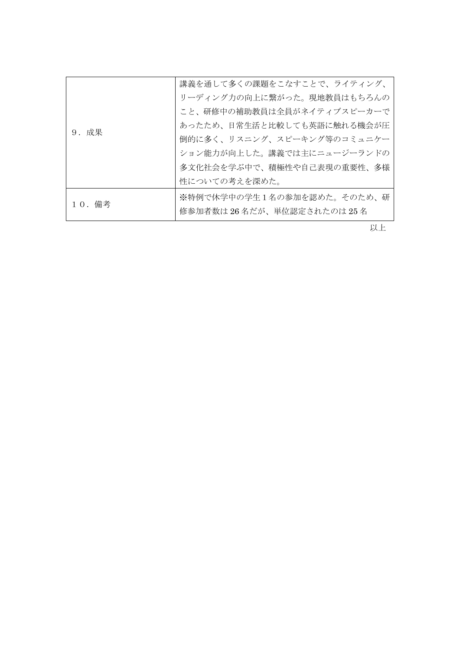| 9. 成果  | 講義を通して多くの課題をこなすことで、ライティング、<br>リーディング力の向上に繋がった。現地教員はもちろんの<br>こと、研修中の補助教員は全員がネイティブスピーカーで                                                |
|--------|---------------------------------------------------------------------------------------------------------------------------------------|
|        | あったため、日常生活と比較しても英語に触れる機会が圧<br>倒的に多く、リスニング、スピーキング等のコミュニケー<br>ション能力が向上した。講義では主にニュージーランドの<br>多文化社会を学ぶ中で、積極性や自己表現の重要性、多様<br>性についての考えを深めた。 |
| 10. 備考 | ※特例で休学中の学生1名の参加を認めた。そのため、研<br>修参加者数は26名だが、単位認定されたのは25名                                                                                |

以上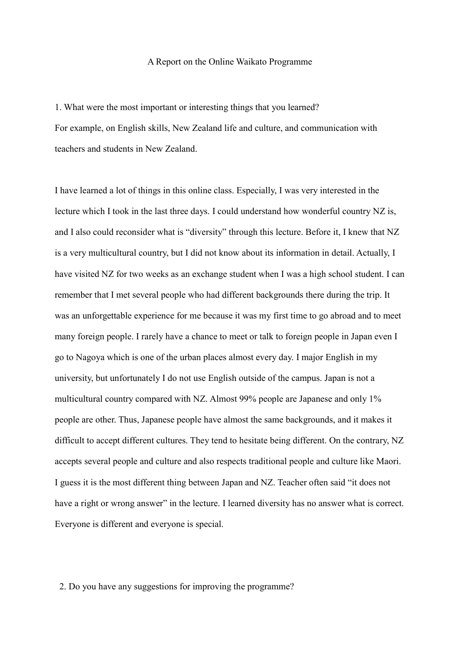#### A Report on the Online Waikato Programme

1. What were the most important or interesting things that you learned?

For example, on English skills, New Zealand life and culture, and communication with teachers and students in New Zealand.

I have learned a lot of things in this online class. Especially, I was very interested in the lecture which I took in the last three days. I could understand how wonderful country NZ is, and I also could reconsider what is "diversity" through this lecture. Before it, I knew that NZ is a very multicultural country, but I did not know about its information in detail. Actually, I have visited NZ for two weeks as an exchange student when I was a high school student. I can remember that I met several people who had different backgrounds there during the trip. It was an unforgettable experience for me because it was my first time to go abroad and to meet many foreign people. I rarely have a chance to meet or talk to foreign people in Japan even I go to Nagoya which is one of the urban places almost every day. I major English in my university, but unfortunately I do not use English outside of the campus. Japan is not a multicultural country compared with NZ. Almost 99% people are Japanese and only 1% people are other. Thus, Japanese people have almost the same backgrounds, and it makes it difficult to accept different cultures. They tend to hesitate being different. On the contrary, NZ accepts several people and culture and also respects traditional people and culture like Maori. I guess it is the most different thing between Japan and NZ. Teacher often said "it does not have a right or wrong answer" in the lecture. I learned diversity has no answer what is correct. Everyone is different and everyone is special.

2. Do you have any suggestions for improving the programme?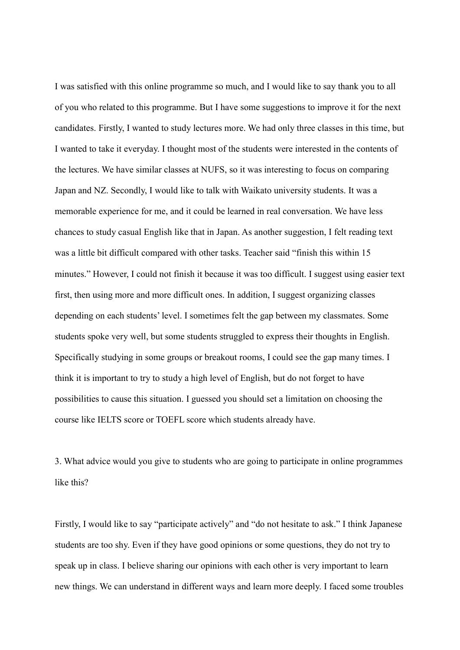I was satisfied with this online programme so much, and I would like to say thank you to all of you who related to this programme. But I have some suggestions to improve it for the next candidates. Firstly, I wanted to study lectures more. We had only three classes in this time, but I wanted to take it everyday. I thought most of the students were interested in the contents of the lectures. We have similar classes at NUFS, so it was interesting to focus on comparing Japan and NZ. Secondly, I would like to talk with Waikato university students. It was a memorable experience for me, and it could be learned in real conversation. We have less chances to study casual English like that in Japan. As another suggestion, I felt reading text was a little bit difficult compared with other tasks. Teacher said "finish this within 15 minutes." However, I could not finish it because it was too difficult. I suggest using easier text first, then using more and more difficult ones. In addition, I suggest organizing classes depending on each students' level. I sometimes felt the gap between my classmates. Some students spoke very well, but some students struggled to express their thoughts in English. Specifically studying in some groups or breakout rooms, I could see the gap many times. I think it is important to try to study a high level of English, but do not forget to have possibilities to cause this situation. I guessed you should set a limitation on choosing the course like IELTS score or TOEFL score which students already have.

3. What advice would you give to students who are going to participate in online programmes like this?

Firstly, I would like to say "participate actively" and "do not hesitate to ask." I think Japanese students are too shy. Even if they have good opinions or some questions, they do not try to speak up in class. I believe sharing our opinions with each other is very important to learn new things. We can understand in different ways and learn more deeply. I faced some troubles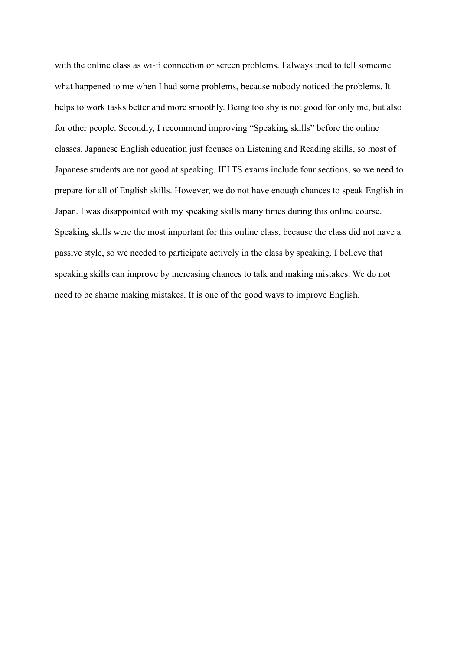with the online class as wi-fi connection or screen problems. I always tried to tell someone what happened to me when I had some problems, because nobody noticed the problems. It helps to work tasks better and more smoothly. Being too shy is not good for only me, but also for other people. Secondly, I recommend improving "Speaking skills" before the online classes. Japanese English education just focuses on Listening and Reading skills, so most of Japanese students are not good at speaking. IELTS exams include four sections, so we need to prepare for all of English skills. However, we do not have enough chances to speak English in Japan. I was disappointed with my speaking skills many times during this online course. Speaking skills were the most important for this online class, because the class did not have a passive style, so we needed to participate actively in the class by speaking. I believe that speaking skills can improve by increasing chances to talk and making mistakes. We do not need to be shame making mistakes. It is one of the good ways to improve English.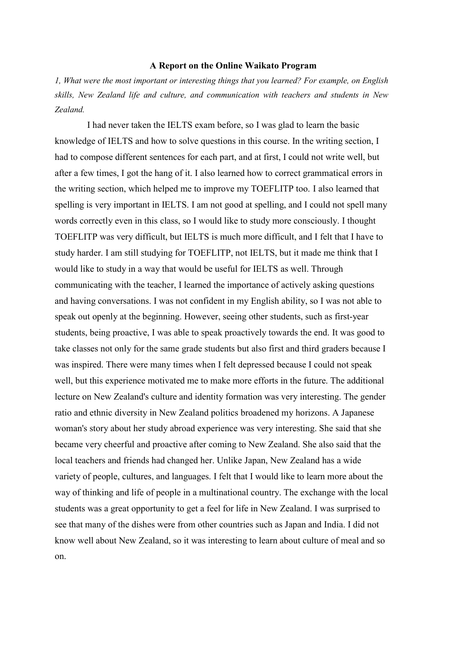#### A Report on the Online Waikato Program

1, What were the most important or interesting things that you learned? For example, on English skills, New Zealand life and culture, and communication with teachers and students in New Zealand.

I had never taken the IELTS exam before, so I was glad to learn the basic knowledge of IELTS and how to solve questions in this course. In the writing section, I had to compose different sentences for each part, and at first, I could not write well, but after a few times, I got the hang of it. I also learned how to correct grammatical errors in the writing section, which helped me to improve my TOEFLITP too. I also learned that spelling is very important in IELTS. I am not good at spelling, and I could not spell many words correctly even in this class, so I would like to study more consciously. I thought TOEFLITP was very difficult, but IELTS is much more difficult, and I felt that I have to study harder. I am still studying for TOEFLITP, not IELTS, but it made me think that I would like to study in a way that would be useful for IELTS as well. Through communicating with the teacher, I learned the importance of actively asking questions and having conversations. I was not confident in my English ability, so I was not able to speak out openly at the beginning. However, seeing other students, such as first-year students, being proactive, I was able to speak proactively towards the end. It was good to take classes not only for the same grade students but also first and third graders because I was inspired. There were many times when I felt depressed because I could not speak well, but this experience motivated me to make more efforts in the future. The additional lecture on New Zealand's culture and identity formation was very interesting. The gender ratio and ethnic diversity in New Zealand politics broadened my horizons. A Japanese woman's story about her study abroad experience was very interesting. She said that she became very cheerful and proactive after coming to New Zealand. She also said that the local teachers and friends had changed her. Unlike Japan, New Zealand has a wide variety of people, cultures, and languages. I felt that I would like to learn more about the way of thinking and life of people in a multinational country. The exchange with the local students was a great opportunity to get a feel for life in New Zealand. I was surprised to see that many of the dishes were from other countries such as Japan and India. I did not know well about New Zealand, so it was interesting to learn about culture of meal and so on.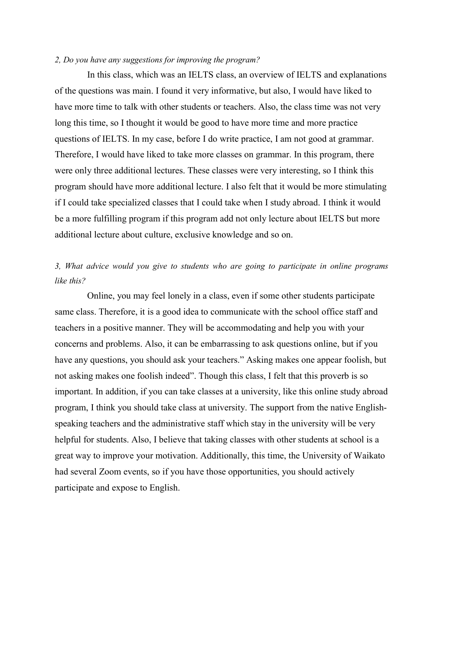#### 2, Do you have any suggestions for improving the program?

In this class, which was an IELTS class, an overview of IELTS and explanations of the questions was main. I found it very informative, but also, I would have liked to have more time to talk with other students or teachers. Also, the class time was not very long this time, so I thought it would be good to have more time and more practice questions of IELTS. In my case, before I do write practice, I am not good at grammar. Therefore, I would have liked to take more classes on grammar. In this program, there were only three additional lectures. These classes were very interesting, so I think this program should have more additional lecture. I also felt that it would be more stimulating if I could take specialized classes that I could take when I study abroad. I think it would be a more fulfilling program if this program add not only lecture about IELTS but more additional lecture about culture, exclusive knowledge and so on.

### 3, What advice would you give to students who are going to participate in online programs like this?

Online, you may feel lonely in a class, even if some other students participate same class. Therefore, it is a good idea to communicate with the school office staff and teachers in a positive manner. They will be accommodating and help you with your concerns and problems. Also, it can be embarrassing to ask questions online, but if you have any questions, you should ask your teachers." Asking makes one appear foolish, but not asking makes one foolish indeed". Though this class, I felt that this proverb is so important. In addition, if you can take classes at a university, like this online study abroad program, I think you should take class at university. The support from the native Englishspeaking teachers and the administrative staff which stay in the university will be very helpful for students. Also, I believe that taking classes with other students at school is a great way to improve your motivation. Additionally, this time, the University of Waikato had several Zoom events, so if you have those opportunities, you should actively participate and expose to English.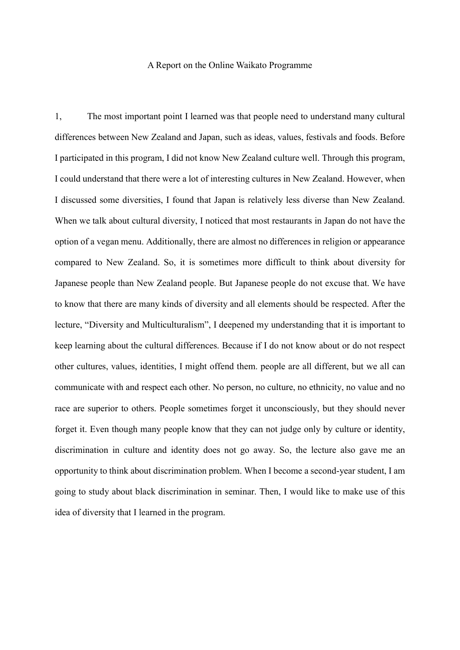#### A Report on the Online Waikato Programme

1, The most important point I learned was that people need to understand many cultural differences between New Zealand and Japan, such as ideas, values, festivals and foods. Before I participated in this program, I did not know New Zealand culture well. Through this program, I could understand that there were a lot of interesting cultures in New Zealand. However, when I discussed some diversities, I found that Japan is relatively less diverse than New Zealand. When we talk about cultural diversity, I noticed that most restaurants in Japan do not have the option of a vegan menu. Additionally, there are almost no differences in religion or appearance compared to New Zealand. So, it is sometimes more difficult to think about diversity for Japanese people than New Zealand people. But Japanese people do not excuse that. We have to know that there are many kinds of diversity and all elements should be respected. After the lecture, "Diversity and Multiculturalism", I deepened my understanding that it is important to keep learning about the cultural differences. Because if I do not know about or do not respect other cultures, values, identities, I might offend them. people are all different, but we all can communicate with and respect each other. No person, no culture, no ethnicity, no value and no race are superior to others. People sometimes forget it unconsciously, but they should never forget it. Even though many people know that they can not judge only by culture or identity, discrimination in culture and identity does not go away. So, the lecture also gave me an opportunity to think about discrimination problem. When I become a second-year student, I am going to study about black discrimination in seminar. Then, I would like to make use of this idea of diversity that I learned in the program.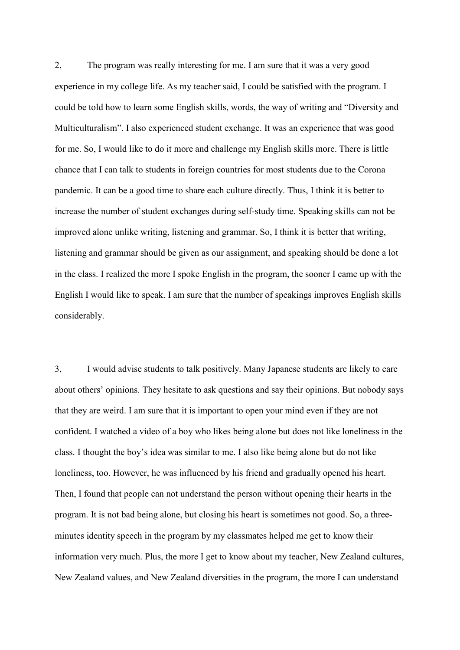2, The program was really interesting for me. I am sure that it was a very good experience in my college life. As my teacher said, I could be satisfied with the program. I could be told how to learn some English skills, words, the way of writing and "Diversity and Multiculturalism". I also experienced student exchange. It was an experience that was good for me. So, I would like to do it more and challenge my English skills more. There is little chance that I can talk to students in foreign countries for most students due to the Corona pandemic. It can be a good time to share each culture directly. Thus, I think it is better to increase the number of student exchanges during self-study time. Speaking skills can not be improved alone unlike writing, listening and grammar. So, I think it is better that writing, listening and grammar should be given as our assignment, and speaking should be done a lot in the class. I realized the more I spoke English in the program, the sooner I came up with the English I would like to speak. I am sure that the number of speakings improves English skills considerably.

3, I would advise students to talk positively. Many Japanese students are likely to care about others' opinions. They hesitate to ask questions and say their opinions. But nobody says that they are weird. I am sure that it is important to open your mind even if they are not confident. I watched a video of a boy who likes being alone but does not like loneliness in the class. I thought the boy's idea was similar to me. I also like being alone but do not like loneliness, too. However, he was influenced by his friend and gradually opened his heart. Then, I found that people can not understand the person without opening their hearts in the program. It is not bad being alone, but closing his heart is sometimes not good. So, a threeminutes identity speech in the program by my classmates helped me get to know their information very much. Plus, the more I get to know about my teacher, New Zealand cultures, New Zealand values, and New Zealand diversities in the program, the more I can understand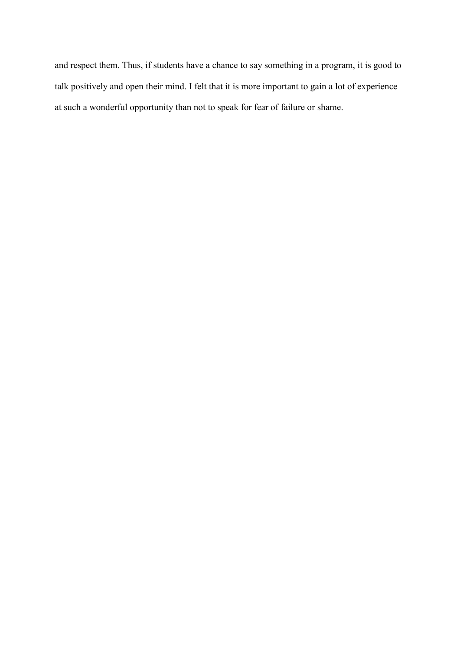and respect them. Thus, if students have a chance to say something in a program, it is good to talk positively and open their mind. I felt that it is more important to gain a lot of experience at such a wonderful opportunity than not to speak for fear of failure or shame.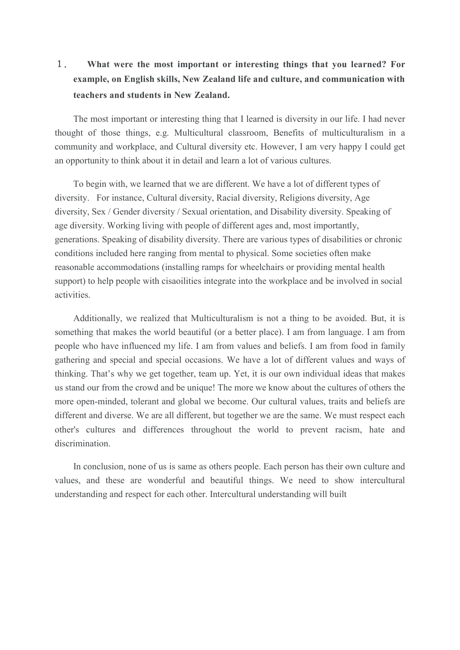## 1. What were the most important or interesting things that you learned? For example, on English skills, New Zealand life and culture, and communication with teachers and students in New Zealand.

The most important or interesting thing that I learned is diversity in our life. I had never thought of those things, e.g. Multicultural classroom, Benefits of multiculturalism in a community and workplace, and Cultural diversity etc. However, I am very happy I could get an opportunity to think about it in detail and learn a lot of various cultures.

To begin with, we learned that we are different. We have a lot of different types of diversity. For instance, Cultural diversity, Racial diversity, Religions diversity, Age diversity, Sex / Gender diversity / Sexual orientation, and Disability diversity. Speaking of age diversity. Working living with people of different ages and, most importantly, generations. Speaking of disability diversity. There are various types of disabilities or chronic conditions included here ranging from mental to physical. Some societies often make reasonable accommodations (installing ramps for wheelchairs or providing mental health support) to help people with cisaoilities integrate into the workplace and be involved in social activities.

Additionally, we realized that Multiculturalism is not a thing to be avoided. But, it is something that makes the world beautiful (or a better place). I am from language. I am from people who have influenced my life. I am from values and beliefs. I am from food in family gathering and special and special occasions. We have a lot of different values and ways of thinking. That's why we get together, team up. Yet, it is our own individual ideas that makes us stand our from the crowd and be unique! The more we know about the cultures of others the more open-minded, tolerant and global we become. Our cultural values, traits and beliefs are different and diverse. We are all different, but together we are the same. We must respect each other's cultures and differences throughout the world to prevent racism, hate and discrimination.

In conclusion, none of us is same as others people. Each person has their own culture and values, and these are wonderful and beautiful things. We need to show intercultural understanding and respect for each other. Intercultural understanding will built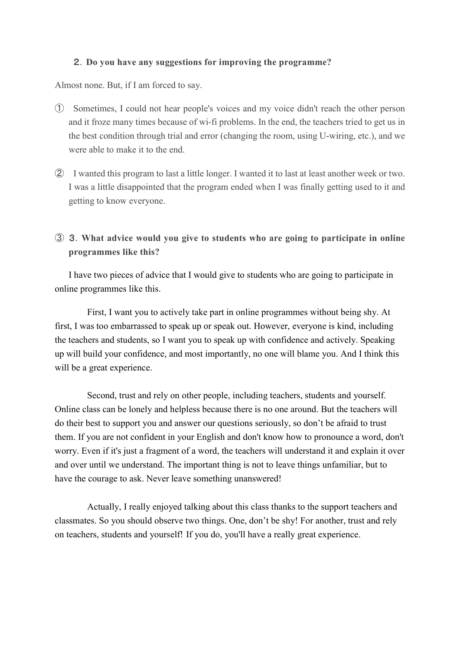#### 2.Do you have any suggestions for improving the programme?

Almost none. But, if I am forced to say.

- ① Sometimes, I could not hear people's voices and my voice didn't reach the other person and it froze many times because of wi-fi problems. In the end, the teachers tried to get us in the best condition through trial and error (changing the room, using U-wiring, etc.), and we were able to make it to the end.
- ② I wanted this program to last a little longer. I wanted it to last at least another week or two. I was a little disappointed that the program ended when I was finally getting used to it and getting to know everyone.
- ③ 3.What advice would you give to students who are going to participate in online programmes like this?

I have two pieces of advice that I would give to students who are going to participate in online programmes like this.

First, I want you to actively take part in online programmes without being shy. At first, I was too embarrassed to speak up or speak out. However, everyone is kind, including the teachers and students, so I want you to speak up with confidence and actively. Speaking up will build your confidence, and most importantly, no one will blame you. And I think this will be a great experience.

Second, trust and rely on other people, including teachers, students and yourself. Online class can be lonely and helpless because there is no one around. But the teachers will do their best to support you and answer our questions seriously, so don't be afraid to trust them. If you are not confident in your English and don't know how to pronounce a word, don't worry. Even if it's just a fragment of a word, the teachers will understand it and explain it over and over until we understand. The important thing is not to leave things unfamiliar, but to have the courage to ask. Never leave something unanswered!

 Actually, I really enjoyed talking about this class thanks to the support teachers and classmates. So you should observe two things. One, don't be shy! For another, trust and rely on teachers, students and yourself! If you do, you'll have a really great experience.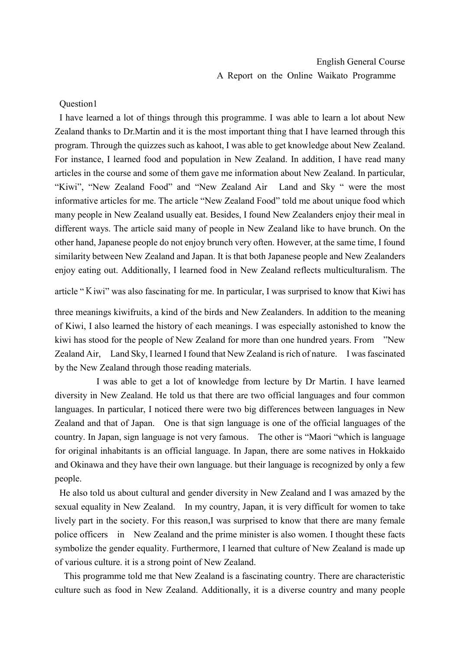#### Question1

I have learned a lot of things through this programme. I was able to learn a lot about New Zealand thanks to Dr.Martin and it is the most important thing that I have learned through this program. Through the quizzes such as kahoot, I was able to get knowledge about New Zealand. For instance, I learned food and population in New Zealand. In addition, I have read many articles in the course and some of them gave me information about New Zealand. In particular, "Kiwi", "New Zealand Food" and "New Zealand Air Land and Sky " were the most informative articles for me. The article "New Zealand Food" told me about unique food which many people in New Zealand usually eat. Besides, I found New Zealanders enjoy their meal in different ways. The article said many of people in New Zealand like to have brunch. On the other hand, Japanese people do not enjoy brunch very often. However, at the same time, I found similarity between New Zealand and Japan. It is that both Japanese people and New Zealanders enjoy eating out. Additionally, I learned food in New Zealand reflects multiculturalism. The

article "Kiwi" was also fascinating for me. In particular, I was surprised to know that Kiwi has

three meanings kiwifruits, a kind of the birds and New Zealanders. In addition to the meaning of Kiwi, I also learned the history of each meanings. I was especially astonished to know the kiwi has stood for the people of New Zealand for more than one hundred years. From "New Zealand Air, Land Sky, I learned I found that New Zealand is rich of nature. I was fascinated by the New Zealand through those reading materials.

I was able to get a lot of knowledge from lecture by Dr Martin. I have learned diversity in New Zealand. He told us that there are two official languages and four common languages. In particular, I noticed there were two big differences between languages in New Zealand and that of Japan. One is that sign language is one of the official languages of the country. In Japan, sign language is not very famous. The other is "Maori "which is language for original inhabitants is an official language. In Japan, there are some natives in Hokkaido and Okinawa and they have their own language. but their language is recognized by only a few people.

 He also told us about cultural and gender diversity in New Zealand and I was amazed by the sexual equality in New Zealand. In my country, Japan, it is very difficult for women to take lively part in the society. For this reason, I was surprised to know that there are many female police officers in New Zealand and the prime minister is also women. I thought these facts symbolize the gender equality. Furthermore, I learned that culture of New Zealand is made up of various culture. it is a strong point of New Zealand.

This programme told me that New Zealand is a fascinating country. There are characteristic culture such as food in New Zealand. Additionally, it is a diverse country and many people